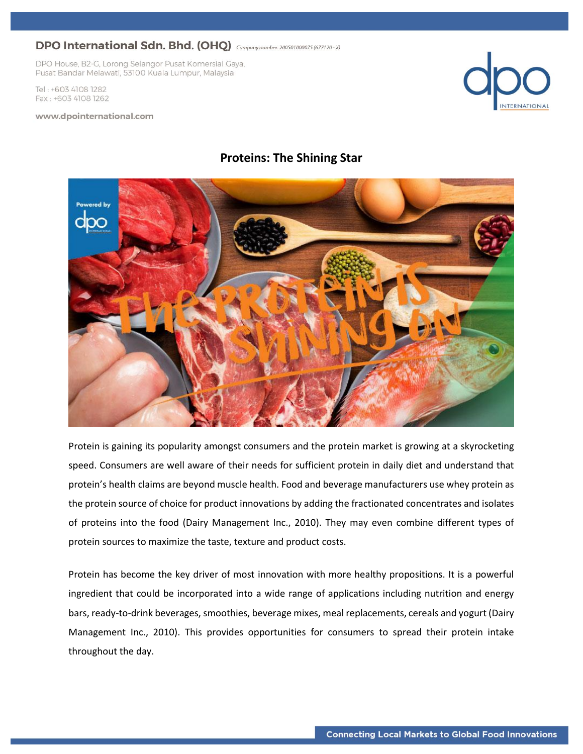DPO House, B2-G, Lorong Selangor Pusat Komersial Gaya, Pusat Bandar Melawati, 53100 Kuala Lumpur, Malaysia

Tel: +603 4108 1282 Fax: +603 4108 1262

#### www.dpointernational.com



### **Proteins: The Shining Star**



Protein is gaining its popularity amongst consumers and the protein market is growing at a skyrocketing speed. Consumers are well aware of their needs for sufficient protein in daily diet and understand that protein's health claims are beyond muscle health. Food and beverage manufacturers use whey protein as the protein source of choice for product innovations by adding the fractionated concentrates and isolates of proteins into the food (Dairy Management Inc., 2010). They may even combine different types of protein sources to maximize the taste, texture and product costs.

Protein has become the key driver of most innovation with more healthy propositions. It is a powerful ingredient that could be incorporated into a wide range of applications including nutrition and energy bars, ready-to-drink beverages, smoothies, beverage mixes, meal replacements, cereals and yogurt (Dairy Management Inc., 2010). This provides opportunities for consumers to spread their protein intake throughout the day.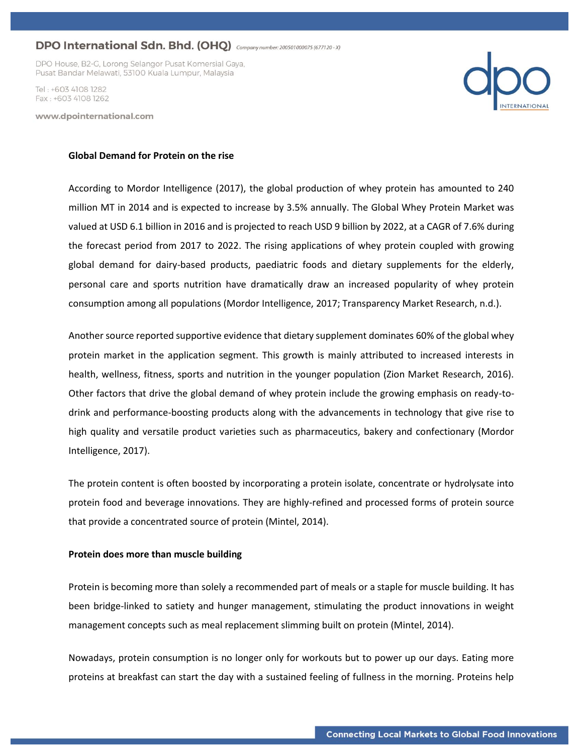DPO House, B2-G, Lorong Selangor Pusat Komersial Gaya, Pusat Bandar Melawati, 53100 Kuala Lumpur, Malaysia

Tel · +603 4108 1282 Fax: +603 4108 1262

www.dpointernational.com



#### **Global Demand for Protein on the rise**

According to Mordor Intelligence (2017), the global production of whey protein has amounted to 240 million MT in 2014 and is expected to increase by 3.5% annually. The Global Whey Protein Market was valued at USD 6.1 billion in 2016 and is projected to reach USD 9 billion by 2022, at a CAGR of 7.6% during the forecast period from 2017 to 2022. The rising applications of whey protein coupled with growing global demand for dairy-based products, paediatric foods and dietary supplements for the elderly, personal care and sports nutrition have dramatically draw an increased popularity of whey protein consumption among all populations (Mordor Intelligence, 2017; Transparency Market Research, n.d.).

Another source reported supportive evidence that dietary supplement dominates 60% of the global whey protein market in the application segment. This growth is mainly attributed to increased interests in health, wellness, fitness, sports and nutrition in the younger population (Zion Market Research, 2016). Other factors that drive the global demand of whey protein include the growing emphasis on ready-todrink and performance-boosting products along with the advancements in technology that give rise to high quality and versatile product varieties such as pharmaceutics, bakery and confectionary (Mordor Intelligence, 2017).

The protein content is often boosted by incorporating a protein isolate, concentrate or hydrolysate into protein food and beverage innovations. They are highly-refined and processed forms of protein source that provide a concentrated source of protein (Mintel, 2014).

#### **Protein does more than muscle building**

Protein is becoming more than solely a recommended part of meals or a staple for muscle building. It has been bridge-linked to satiety and hunger management, stimulating the product innovations in weight management concepts such as meal replacement slimming built on protein (Mintel, 2014).

Nowadays, protein consumption is no longer only for workouts but to power up our days. Eating more proteins at breakfast can start the day with a sustained feeling of fullness in the morning. Proteins help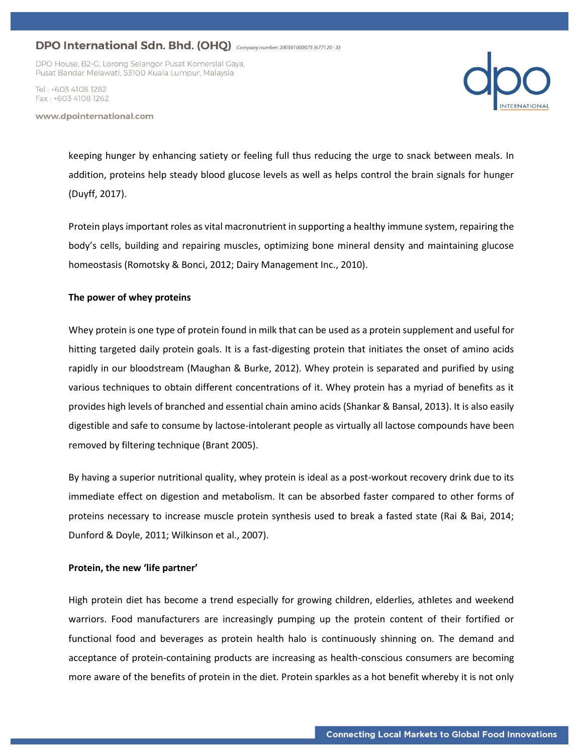DPO House, B2-G, Lorong Selangor Pusat Komersial Gaya, Pusat Bandar Melawati, 53100 Kuala Lumpur, Malaysia

Tel · +603 4108 1282 Fax: +603 4108 1262

www.dpointernational.com



keeping hunger by enhancing satiety or feeling full thus reducing the urge to snack between meals. In addition, proteins help steady blood glucose levels as well as helps control the brain signals for hunger (Duyff, 2017).

Protein plays important roles as vital macronutrient in supporting a healthy immune system, repairing the body's cells, building and repairing muscles, optimizing bone mineral density and maintaining glucose homeostasis (Romotsky & Bonci, 2012; Dairy Management Inc., 2010).

### **The power of whey proteins**

Whey protein is one type of protein found in milk that can be used as a protein supplement and useful for hitting targeted daily protein goals. It is a fast-digesting protein that initiates the onset of amino acids rapidly in our bloodstream (Maughan & Burke, 2012). Whey protein is separated and purified by using various techniques to obtain different concentrations of it. Whey protein has a myriad of benefits as it provides high levels of branched and essential chain amino acids (Shankar & Bansal, 2013). It is also easily digestible and safe to consume by lactose-intolerant people as virtually all lactose compounds have been removed by filtering technique (Brant 2005).

By having a superior nutritional quality, whey protein is ideal as a post-workout recovery drink due to its immediate effect on digestion and metabolism. It can be absorbed faster compared to other forms of proteins necessary to increase muscle protein synthesis used to break a fasted state (Rai & Bai, 2014; Dunford & Doyle, 2011; Wilkinson et al., 2007).

#### **Protein, the new 'life partner'**

High protein diet has become a trend especially for growing children, elderlies, athletes and weekend warriors. Food manufacturers are increasingly pumping up the protein content of their fortified or functional food and beverages as protein health halo is continuously shinning on. The demand and acceptance of protein-containing products are increasing as health-conscious consumers are becoming more aware of the benefits of protein in the diet. Protein sparkles as a hot benefit whereby it is not only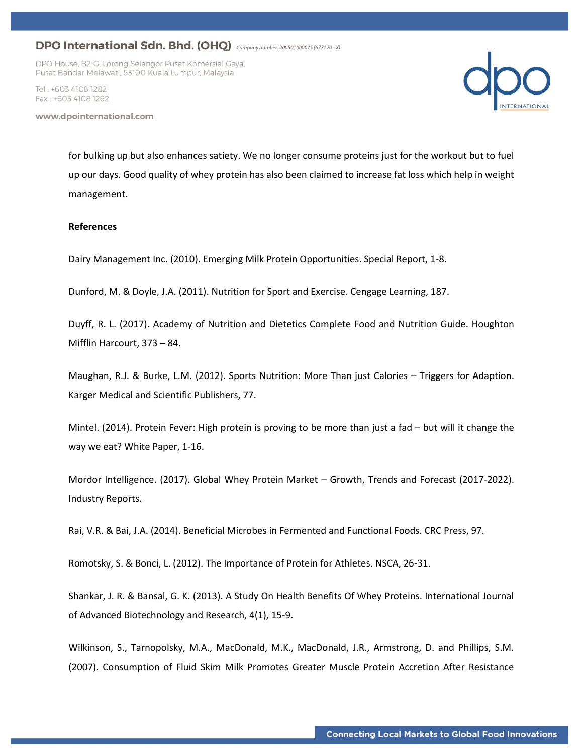DPO House, B2-G, Lorong Selangor Pusat Komersial Gaya, Pusat Bandar Melawati, 53100 Kuala Lumpur, Malaysia

Tel · +603 4108 1282 Fax: +603 4108 1262

www.dpointernational.com



for bulking up but also enhances satiety. We no longer consume proteins just for the workout but to fuel up our days. Good quality of whey protein has also been claimed to increase fat loss which help in weight management.

### **References**

Dairy Management Inc. (2010). Emerging Milk Protein Opportunities. Special Report, 1-8.

Dunford, M. & Doyle, J.A. (2011). Nutrition for Sport and Exercise. Cengage Learning, 187.

Duyff, R. L. (2017). Academy of Nutrition and Dietetics Complete Food and Nutrition Guide. Houghton Mifflin Harcourt, 373 – 84.

Maughan, R.J. & Burke, L.M. (2012). Sports Nutrition: More Than just Calories – Triggers for Adaption. Karger Medical and Scientific Publishers, 77.

Mintel. (2014). Protein Fever: High protein is proving to be more than just a fad – but will it change the way we eat? White Paper, 1-16.

Mordor Intelligence. (2017). Global Whey Protein Market – Growth, Trends and Forecast (2017-2022). Industry Reports.

Rai, V.R. & Bai, J.A. (2014). Beneficial Microbes in Fermented and Functional Foods. CRC Press, 97.

Romotsky, S. & Bonci, L. (2012). The Importance of Protein for Athletes. NSCA, 26-31.

Shankar, J. R. & Bansal, G. K. (2013). A Study On Health Benefits Of Whey Proteins. International Journal of Advanced Biotechnology and Research, 4(1), 15-9.

Wilkinson, S., Tarnopolsky, M.A., MacDonald, M.K., MacDonald, J.R., Armstrong, D. and Phillips, S.M. (2007). Consumption of Fluid Skim Milk Promotes Greater Muscle Protein Accretion After Resistance